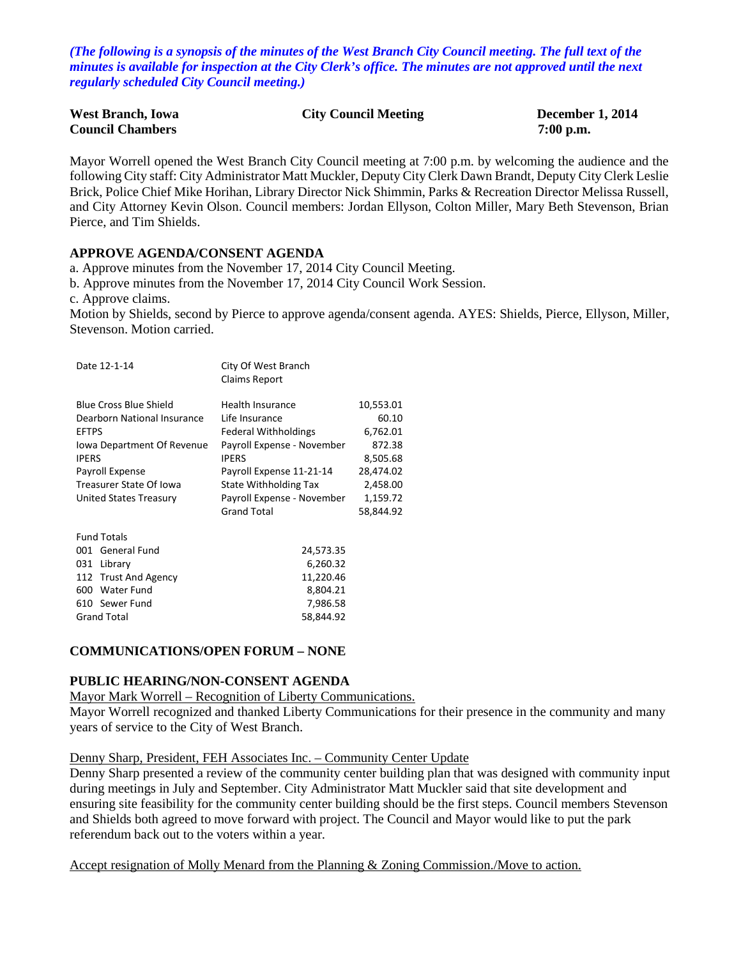*(The following is a synopsis of the minutes of the West Branch City Council meeting. The full text of the minutes is available for inspection at the City Clerk's office. The minutes are not approved until the next regularly scheduled City Council meeting.)*

| <b>West Branch, Iowa</b> | <b>City Council Meeting</b> | <b>December 1, 2014</b> |
|--------------------------|-----------------------------|-------------------------|
| <b>Council Chambers</b>  |                             | $7:00$ p.m.             |

Mayor Worrell opened the West Branch City Council meeting at 7:00 p.m. by welcoming the audience and the following City staff: City Administrator Matt Muckler, Deputy City Clerk Dawn Brandt, Deputy City Clerk Leslie Brick, Police Chief Mike Horihan, Library Director Nick Shimmin, Parks & Recreation Director Melissa Russell, and City Attorney Kevin Olson. Council members: Jordan Ellyson, Colton Miller, Mary Beth Stevenson, Brian Pierce, and Tim Shields.

### **APPROVE AGENDA/CONSENT AGENDA**

a. Approve minutes from the November 17, 2014 City Council Meeting.

b. Approve minutes from the November 17, 2014 City Council Work Session.

c. Approve claims.

Motion by Shields, second by Pierce to approve agenda/consent agenda. AYES: Shields, Pierce, Ellyson, Miller, Stevenson. Motion carried.

| Date 12-1-14                                                                                                                                                             | City Of West Branch<br>Claims Report                                                                                                                                 |                                                                               |
|--------------------------------------------------------------------------------------------------------------------------------------------------------------------------|----------------------------------------------------------------------------------------------------------------------------------------------------------------------|-------------------------------------------------------------------------------|
| <b>Blue Cross Blue Shield</b><br>Dearborn National Insurance<br><b>EFTPS</b><br>Iowa Department Of Revenue<br><b>IPERS</b><br>Payroll Expense<br>Treasurer State Of Iowa | Health Insurance<br>Life Insurance<br><b>Federal Withholdings</b><br>Payroll Expense - November<br><b>IPERS</b><br>Payroll Expense 11-21-14<br>State Withholding Tax | 10,553.01<br>60.10<br>6,762.01<br>872.38<br>8,505.68<br>28,474.02<br>2,458.00 |
| United States Treasury                                                                                                                                                   | Payroll Expense - November<br><b>Grand Total</b>                                                                                                                     | 1,159.72<br>58,844.92                                                         |
| <b>Fund Totals</b><br>001 General Fund<br>031 Library<br>112 Trust And Agency<br>600<br>Water Fund<br>610 Sewer Fund<br><b>Grand Total</b>                               | 24,573.35<br>6,260.32<br>11,220.46<br>8,804.21<br>7,986.58<br>58,844.92                                                                                              |                                                                               |

### **COMMUNICATIONS/OPEN FORUM – NONE**

### **PUBLIC HEARING/NON-CONSENT AGENDA**

Mayor Mark Worrell – Recognition of Liberty Communications.

Mayor Worrell recognized and thanked Liberty Communications for their presence in the community and many years of service to the City of West Branch.

Denny Sharp, President, FEH Associates Inc. – Community Center Update

Denny Sharp presented a review of the community center building plan that was designed with community input during meetings in July and September. City Administrator Matt Muckler said that site development and ensuring site feasibility for the community center building should be the first steps. Council members Stevenson and Shields both agreed to move forward with project. The Council and Mayor would like to put the park referendum back out to the voters within a year.

Accept resignation of Molly Menard from the Planning & Zoning Commission./Move to action.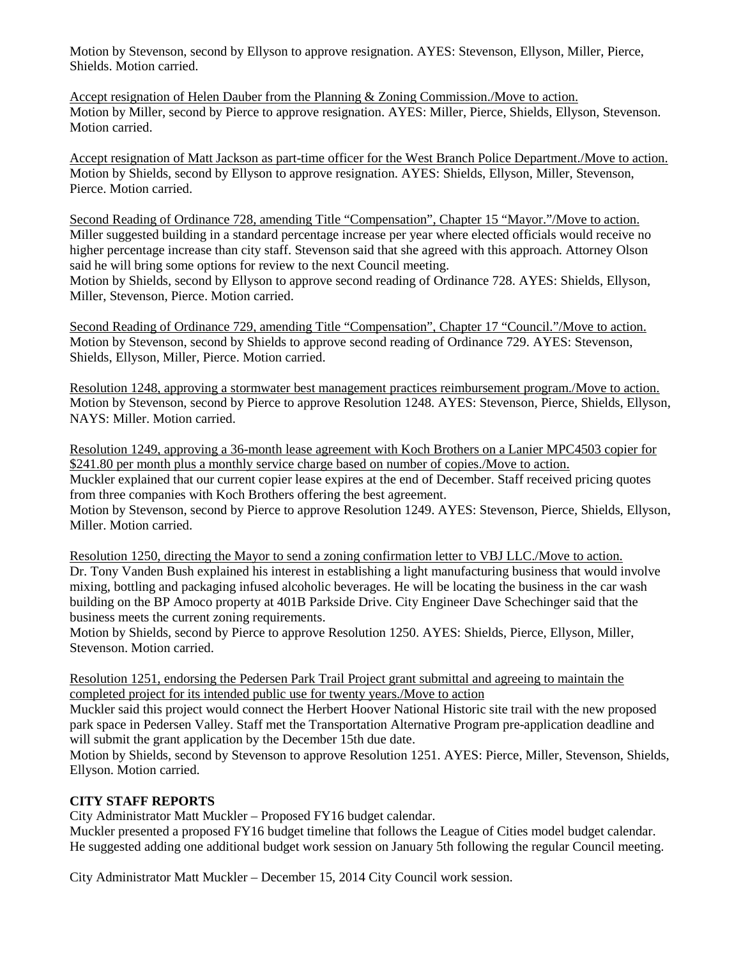Motion by Stevenson, second by Ellyson to approve resignation. AYES: Stevenson, Ellyson, Miller, Pierce, Shields. Motion carried.

Accept resignation of Helen Dauber from the Planning & Zoning Commission./Move to action. Motion by Miller, second by Pierce to approve resignation. AYES: Miller, Pierce, Shields, Ellyson, Stevenson. Motion carried.

Accept resignation of Matt Jackson as part-time officer for the West Branch Police Department./Move to action. Motion by Shields, second by Ellyson to approve resignation. AYES: Shields, Ellyson, Miller, Stevenson, Pierce. Motion carried.

Second Reading of Ordinance 728, amending Title "Compensation", Chapter 15 "Mayor."/Move to action. Miller suggested building in a standard percentage increase per year where elected officials would receive no higher percentage increase than city staff. Stevenson said that she agreed with this approach. Attorney Olson said he will bring some options for review to the next Council meeting.

Motion by Shields, second by Ellyson to approve second reading of Ordinance 728. AYES: Shields, Ellyson, Miller, Stevenson, Pierce. Motion carried.

Second Reading of Ordinance 729, amending Title "Compensation", Chapter 17 "Council."/Move to action. Motion by Stevenson, second by Shields to approve second reading of Ordinance 729. AYES: Stevenson, Shields, Ellyson, Miller, Pierce. Motion carried.

Resolution 1248, approving a stormwater best management practices reimbursement program./Move to action. Motion by Stevenson, second by Pierce to approve Resolution 1248. AYES: Stevenson, Pierce, Shields, Ellyson, NAYS: Miller. Motion carried.

Resolution 1249, approving a 36-month lease agreement with Koch Brothers on a Lanier MPC4503 copier for \$241.80 per month plus a monthly service charge based on number of copies./Move to action. Muckler explained that our current copier lease expires at the end of December. Staff received pricing quotes from three companies with Koch Brothers offering the best agreement. Motion by Stevenson, second by Pierce to approve Resolution 1249. AYES: Stevenson, Pierce, Shields, Ellyson, Miller. Motion carried.

Resolution 1250, directing the Mayor to send a zoning confirmation letter to VBJ LLC./Move to action. Dr. Tony Vanden Bush explained his interest in establishing a light manufacturing business that would involve mixing, bottling and packaging infused alcoholic beverages. He will be locating the business in the car wash building on the BP Amoco property at 401B Parkside Drive. City Engineer Dave Schechinger said that the business meets the current zoning requirements.

Motion by Shields, second by Pierce to approve Resolution 1250. AYES: Shields, Pierce, Ellyson, Miller, Stevenson. Motion carried.

Resolution 1251, endorsing the Pedersen Park Trail Project grant submittal and agreeing to maintain the completed project for its intended public use for twenty years./Move to action

Muckler said this project would connect the Herbert Hoover National Historic site trail with the new proposed park space in Pedersen Valley. Staff met the Transportation Alternative Program pre-application deadline and will submit the grant application by the December 15th due date.

Motion by Shields, second by Stevenson to approve Resolution 1251. AYES: Pierce, Miller, Stevenson, Shields, Ellyson. Motion carried.

# **CITY STAFF REPORTS**

City Administrator Matt Muckler – Proposed FY16 budget calendar.

Muckler presented a proposed FY16 budget timeline that follows the League of Cities model budget calendar. He suggested adding one additional budget work session on January 5th following the regular Council meeting.

City Administrator Matt Muckler – December 15, 2014 City Council work session.